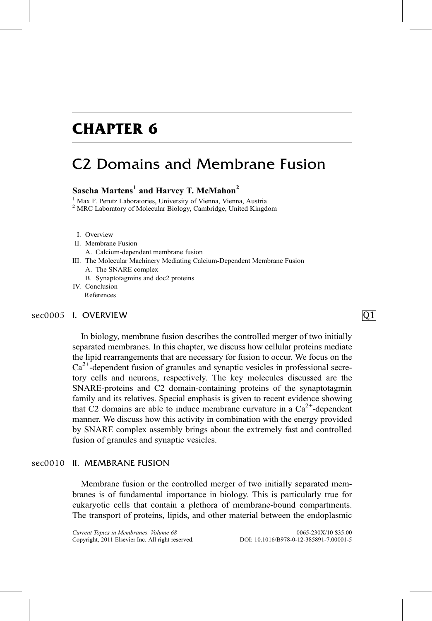## CHAPTER 6

## C2 Domains and Membrane Fusion

### Sascha Martens<sup>1</sup> and Harvey T. McMahon<sup>2</sup>

<sup>1</sup> Max F. Perutz Laboratories, University of Vienna, Vienna, Austria <sup>2</sup> MRC Laboratory of Molecular Biology, Cambridge, United Kingdom

- 
- I. Overview
- II. Membrane Fusion
	- A. Calcium-dependent membrane fusion
- III. The Molecular Machinery Mediating Calcium-Dependent Membrane Fusion
	- A. The SNARE complex
	- B. Synaptotagmins and doc2 proteins
- IV. Conclusion References

### I. OVERVIEW Q1

In biology, membrane fusion describes the controlled merger of two initially separated membranes. In this chapter, we discuss how cellular proteins mediate the lipid rearrangements that are necessary for fusion to occur. We focus on the  $Ca<sup>2+</sup>$ -dependent fusion of granules and synaptic vesicles in professional secretory cells and neurons, respectively. The key molecules discussed are the SNARE-proteins and C2 domain-containing proteins of the synaptotagmin family and its relatives. Special emphasis is given to recent evidence showing that C2 domains are able to induce membrane curvature in a  $Ca<sup>2+</sup>$ -dependent manner. We discuss how this activity in combination with the energy provided by SNARE complex assembly brings about the extremely fast and controlled fusion of granules and synaptic vesicles.

### sec0010 II. MEMBRANE FUSION

Membrane fusion or the controlled merger of two initially separated membranes is of fundamental importance in biology. This is particularly true for eukaryotic cells that contain a plethora of membrane-bound compartments. The transport of proteins, lipids, and other material between the endoplasmic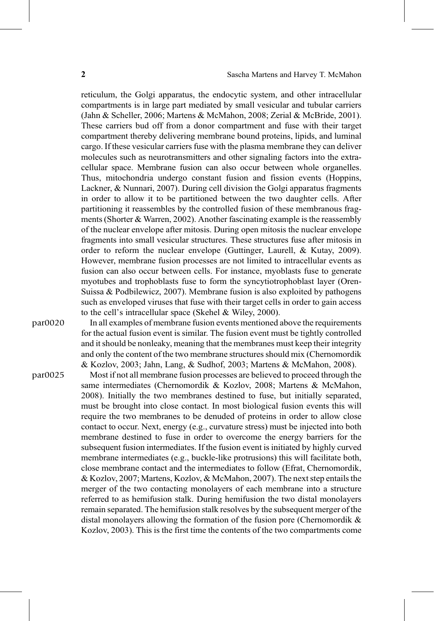reticulum, the Golgi apparatus, the endocytic system, and other intracellular compartments is in large part mediated by small vesicular and tubular carriers ([Jahn & Scheller, 2006; Martens & McMahon, 2008; Zerial & McBride, 2001\)](#page-16-0). These carriers bud off from a donor compartment and fuse with their target compartment thereby delivering membrane bound proteins, lipids, and luminal cargo. If these vesicular carriers fuse with the plasma membrane they can deliver molecules such as neurotransmitters and other signaling factors into the extracellular space. Membrane fusion can also occur between whole organelles. Thus, mitochondria undergo constant fusion and fission events [\(Hoppins,](#page-15-0) [Lackner, & Nunnari, 2007](#page-15-0)). During cell division the Golgi apparatus fragments in order to allow it to be partitioned between the two daughter cells. After partitioning it reassembles by the controlled fusion of these membranous fragments [\(Shorter & Warren, 2002](#page-17-0)). Another fascinating example is the reassembly of the nuclear envelope after mitosis. During open mitosis the nuclear envelope fragments into small vesicular structures. These structures fuse after mitosis in order to reform the nuclear envelope [\(Guttinger, Laurell, & Kutay, 2009\)](#page-15-0). However, membrane fusion processes are not limited to intracellular events as fusion can also occur between cells. For instance, myoblasts fuse to generate myotubes and trophoblasts fuse to form the syncytiotrophoblast layer ([Oren-](#page-17-0)[Suissa & Podbilewicz, 2007](#page-17-0)). Membrane fusion is also exploited by pathogens such as enveloped viruses that fuse with their target cells in order to gain access to the cell's intracellular space ([Skehel & Wiley, 2000](#page-17-0)).

par0020 In all examples of membrane fusion events mentioned above the requirements for the actual fusion event is similar. The fusion event must be tightly controlled and it should be nonleaky, meaning that the membranes must keep their integrity and only the content of the two membrane structures should mix ([Chernomordik](#page-14-0) [& Kozlov, 2003; Jahn, Lang, & Sudhof, 2003; Martens & McMahon, 2008](#page-14-0)).

par0025 Most if not all membrane fusion processes are believed to proceed through the same intermediates [\(Chernomordik & Kozlov, 2008; Martens & McMahon,](#page-14-0) [2008](#page-14-0)). Initially the two membranes destined to fuse, but initially separated, must be brought into close contact. In most biological fusion events this will require the two membranes to be denuded of proteins in order to allow close contact to occur. Next, energy (e.g., curvature stress) must be injected into both membrane destined to fuse in order to overcome the energy barriers for the subsequent fusion intermediates. If the fusion event is initiated by highly curved membrane intermediates (e.g., buckle-like protrusions) this will facilitate both, close membrane contact and the intermediates to follow ([Efrat, Chernomordik,](#page-14-0) [& Kozlov, 2007; Martens, Kozlov, & McMahon, 2007](#page-14-0)). The next step entails the merger of the two contacting monolayers of each membrane into a structure referred to as hemifusion stalk. During hemifusion the two distal monolayers remain separated. The hemifusion stalk resolves by the subsequent merger of the distal monolayers allowing the formation of the fusion pore ([Chernomordik &](#page-14-0) [Kozlov, 2003\)](#page-14-0). This is the first time the contents of the two compartments come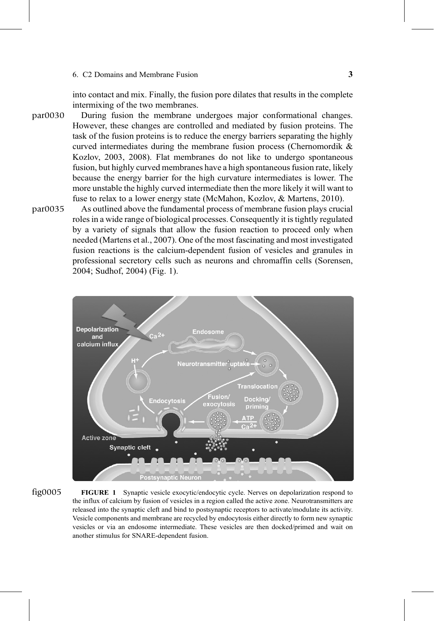<span id="page-2-0"></span>into contact and mix. Finally, the fusion pore dilates that results in the complete intermixing of the two membranes.

- During fusion the membrane undergoes major conformational changes. However, these changes are controlled and mediated by fusion proteins. The task of the fusion proteins is to reduce the energy barriers separating the highly curved intermediates during the membrane fusion process ([Chernomordik &](#page-14-0) [Kozlov, 2003, 2008](#page-14-0)). Flat membranes do not like to undergo spontaneous fusion, but highly curved membranes have a high spontaneous fusion rate, likely because the energy barrier for the high curvature intermediates is lower. The more unstable the highly curved intermediate then the more likely it will want to fuse to relax to a lower energy state [\(McMahon, Kozlov, & Martens, 2010](#page-16-0)).  $\mathbf{p}$
- As outlined above the fundamental process of membrane fusion plays crucial roles in a wide range of biological processes. Consequently it is tightly regulated by a variety of signals that allow the fusion reaction to proceed only when needed ([Martens et al., 2007\)](#page-16-0). One of the most fascinating and most investigated fusion reactions is the calcium-dependent fusion of vesicles and granules in professional secretory cells such as neurons and chromaffin cells [\(Sorensen,](#page-17-0) [2004; Sudhof, 2004\)](#page-17-0) (Fig. 1).  $\mathbf{r}$  are  $\mathbf{r}$



 $\frac{1}{2}$ 

FIGURE 1 Synaptic vesicle exocytic/endocytic cycle. Nerves on depolarization respond to the influx of calcium by fusion of vesicles in a region called the active zone. Neurotransmitters are released into the synaptic cleft and bind to postsynaptic receptors to activate/modulate its activity. Vesicle components and membrane are recycled by endocytosis either directly to form new synaptic vesicles or via an endosome intermediate. These vesicles are then docked/primed and wait on another stimulus for SNARE-dependent fusion.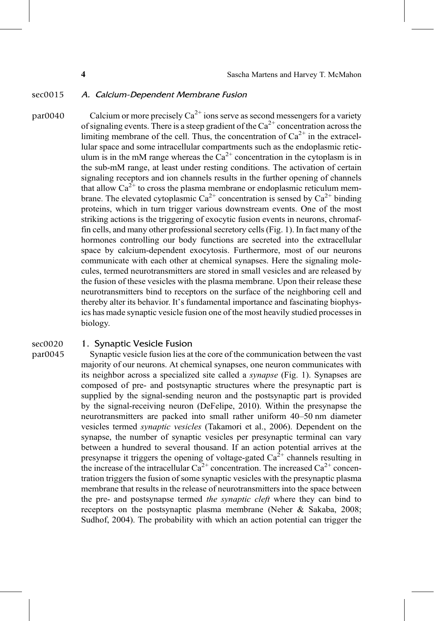### sec0015 A. Calcium-Dependent Membrane Fusion

par0040 Calcium or more precisely  $Ca^{2+}$  ions serve as second messengers for a variety of signaling events. There is a steep gradient of the  $Ca^{2+}$  concentration across the limiting membrane of the cell. Thus, the concentration of  $Ca^{2+}$  in the extracellular space and some intracellular compartments such as the endoplasmic reticulum is in the mM range whereas the  $Ca^{2+}$  concentration in the cytoplasm is in the sub-mM range, at least under resting conditions. The activation of certain signaling receptors and ion channels results in the further opening of channels that allow  $Ca^{2+}$  to cross the plasma membrane or endoplasmic reticulum membrane. The elevated cytoplasmic  $Ca^{2+}$  concentration is sensed by  $Ca^{2+}$  binding proteins, which in turn trigger various downstream events. One of the most striking actions is the triggering of exocytic fusion events in neurons, chromaffin cells, and many other professional secretory cells ([Fig. 1](#page-2-0)). In fact many of the hormones controlling our body functions are secreted into the extracellular space by calcium-dependent exocytosis. Furthermore, most of our neurons communicate with each other at chemical synapses. Here the signaling molecules, termed neurotransmitters are stored in small vesicles and are released by the fusion of these vesicles with the plasma membrane. Upon their release these neurotransmitters bind to receptors on the surface of the neighboring cell and thereby alter its behavior. It's fundamental importance and fascinating biophysics has made synaptic vesicle fusion one of the most heavily studied processes in biology.

## sec0020 1. Synaptic Vesicle Fusion<br>par0045 Synaptic vesicle fusion lies at

Synaptic vesicle fusion lies at the core of the communication between the vast majority of our neurons. At chemical synapses, one neuron communicates with its neighbor across a specialized site called a synapse [\(Fig. 1\)](#page-2-0). Synapses are composed of pre- and postsynaptic structures where the presynaptic part is supplied by the signal-sending neuron and the postsynaptic part is provided by the signal-receiving neuron ([DeFelipe, 2010\)](#page-14-0). Within the presynapse the neurotransmitters are packed into small rather uniform 40–50 nm diameter vesicles termed synaptic vesicles ([Takamori et al., 2006](#page-18-0)). Dependent on the synapse, the number of synaptic vesicles per presynaptic terminal can vary between a hundred to several thousand. If an action potential arrives at the presynapse it triggers the opening of voltage-gated  $Ca^{2+}$  channels resulting in the increase of the intracellular  $Ca^{2+}$  concentration. The increased  $Ca^{2+}$  concentration triggers the fusion of some synaptic vesicles with the presynaptic plasma membrane that results in the release of neurotransmitters into the space between the pre- and postsynapse termed the synaptic cleft where they can bind to receptors on the postsynaptic plasma membrane [\(Neher & Sakaba, 2008;](#page-17-0) [Sudhof, 2004\)](#page-17-0). The probability with which an action potential can trigger the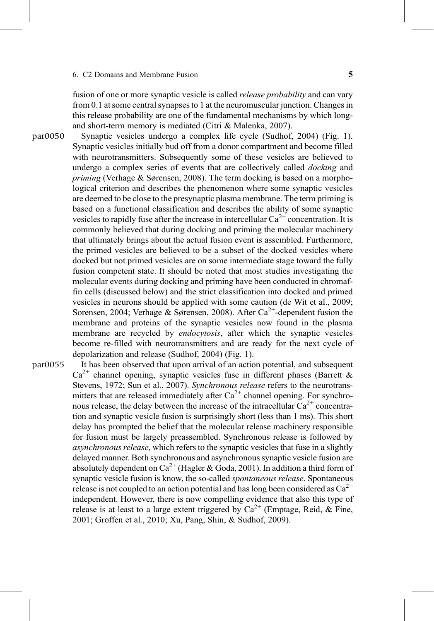### 6. C2 Domains and Membrane Fusion 6. C2 Domains and Membrane Fusion 6. The S

fusion of one or more synaptic vesicle is called *release probability* and can vary from 0.1 at some central synapses to 1 at the neuromuscular junction. Changes in this release probability are one of the fundamental mechanisms by which longand short-term memory is mediated ([Citri & Malenka, 2007](#page-14-0)).

- Synaptic vesicles undergo a complex life cycle ([Sudhof, 2004](#page-17-0)) ([Fig. 1\)](#page-2-0). Synaptic vesicles initially bud off from a donor compartment and become filled with neurotransmitters. Subsequently some of these vesicles are believed to undergo a complex series of events that are collectively called *docking* and priming ([Verhage & S](#page-18-0)ørensen, 2008). The term docking is based on a morphological criterion and describes the phenomenon where some synaptic vesicles are deemed to be close to the presynaptic plasma membrane. The term priming is based on a functional classification and describes the ability of some synaptic vesicles to rapidly fuse after the increase in intercellular  $Ca^{2+}$  concentration. It is commonly believed that during docking and priming the molecular machinery that ultimately brings about the actual fusion event is assembled. Furthermore, the primed vesicles are believed to be a subset of the docked vesicles where docked but not primed vesicles are on some intermediate stage toward the fully fusion competent state. It should be noted that most studies investigating the molecular events during docking and priming have been conducted in chromaffin cells (discussed below) and the strict classification into docked and primed vesicles in neurons should be applied with some caution ([de Wit et al., 2009;](#page-14-0) [Sorensen, 2004; Verhage & S](#page-14-0)ørensen, 2008). After  $Ca^{2+}$ -dependent fusion the membrane and proteins of the synaptic vesicles now found in the plasma membrane are recycled by *endocytosis*, after which the synaptic vesicles become re-filled with neurotransmitters and are ready for the next cycle of depolarization and release [\(Sudhof, 2004](#page-17-0)) ([Fig. 1\)](#page-2-0). p<sup>aroun</sup>
- It has been observed that upon arrival of an action potential, and subsequent  $Ca^{2+}$  channel opening, synaptic vesicles fuse in different phases [\(Barrett &](#page-13-0) [Stevens, 1972; Sun et al., 2007](#page-13-0)). Synchronous release refers to the neurotransmitters that are released immediately after  $Ca^{2+}$  channel opening. For synchronous release, the delay between the increase of the intracellular  $Ca^{2+}$  concentration and synaptic vesicle fusion is surprisingly short (less than 1 ms). This short delay has prompted the belief that the molecular release machinery responsible for fusion must be largely preassembled. Synchronous release is followed by asynchronous release, which refers to the synaptic vesicles that fuse in a slightly delayed manner. Both synchronous and asynchronous synaptic vesicle fusion are absolutely dependent on  $Ca^{2+}$  [\(Hagler & Goda, 2001](#page-15-0)). In addition a third form of synaptic vesicle fusion is know, the so-called spontaneous release. Spontaneous release is not coupled to an action potential and has long been considered as  $Ca^{2+}$ independent. However, there is now compelling evidence that also this type of release is at least to a large extent triggered by  $Ca^{2+}$  ([Emptage, Reid, & Fine,](#page-14-0) [2001; Groffen et al., 2010; Xu, Pang, Shin, & Sudhof, 2009](#page-14-0)). p<sup>aroun</sup>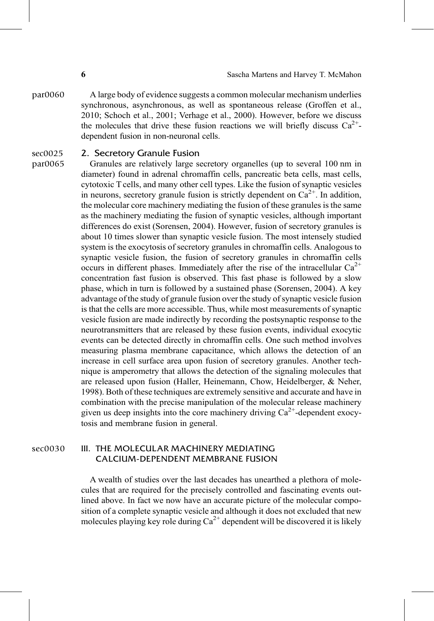par0060 A large body of evidence suggests a common molecular mechanism underlies synchronous, asynchronous, as well as spontaneous release ([Groffen et al.,](#page-15-0) [2010; Schoch et al., 2001; Verhage et al., 2000](#page-15-0)). However, before we discuss the molecules that drive these fusion reactions we will briefly discuss  $Ca^{2+}$ dependent fusion in non-neuronal cells.

## sec0025 2. Secretory Granule Fusion<br>par0065 6 Granules are relatively large se

Granules are relatively large secretory organelles (up to several 100 nm in diameter) found in adrenal chromaffin cells, pancreatic beta cells, mast cells, cytotoxic T cells, and many other cell types. Like the fusion of synaptic vesicles in neurons, secretory granule fusion is strictly dependent on  $Ca^{2+}$ . In addition, the molecular core machinery mediating the fusion of these granules is the same as the machinery mediating the fusion of synaptic vesicles, although important differences do exist [\(Sorensen, 2004\)](#page-17-0). However, fusion of secretory granules is about 10 times slower than synaptic vesicle fusion. The most intensely studied system is the exocytosis of secretory granules in chromaffin cells. Analogous to synaptic vesicle fusion, the fusion of secretory granules in chromaffin cells occurs in different phases. Immediately after the rise of the intracellular  $Ca^{2+}$ concentration fast fusion is observed. This fast phase is followed by a slow phase, which in turn is followed by a sustained phase [\(Sorensen, 2004\)](#page-17-0). A key advantage of the study of granule fusion over the study of synaptic vesicle fusion is that the cells are more accessible. Thus, while most measurements of synaptic vesicle fusion are made indirectly by recording the postsynaptic response to the neurotransmitters that are released by these fusion events, individual exocytic events can be detected directly in chromaffin cells. One such method involves measuring plasma membrane capacitance, which allows the detection of an increase in cell surface area upon fusion of secretory granules. Another technique is amperometry that allows the detection of the signaling molecules that are released upon fusion [\(Haller, Heinemann, Chow, Heidelberger, & Neher,](#page-15-0) [1998](#page-15-0)). Both of these techniques are extremely sensitive and accurate and have in combination with the precise manipulation of the molecular release machinery given us deep insights into the core machinery driving  $Ca^{2+}$ -dependent exocytosis and membrane fusion in general.

### sec0030 **III. THE MOLECULAR MACHINERY MEDIATING** CALCIUM-DEPENDENT MEMBRANE FUSION

A wealth of studies over the last decades has unearthed a plethora of molecules that are required for the precisely controlled and fascinating events outlined above. In fact we now have an accurate picture of the molecular composition of a complete synaptic vesicle and although it does not excluded that new molecules playing key role during  $Ca^{2+}$  dependent will be discovered it is likely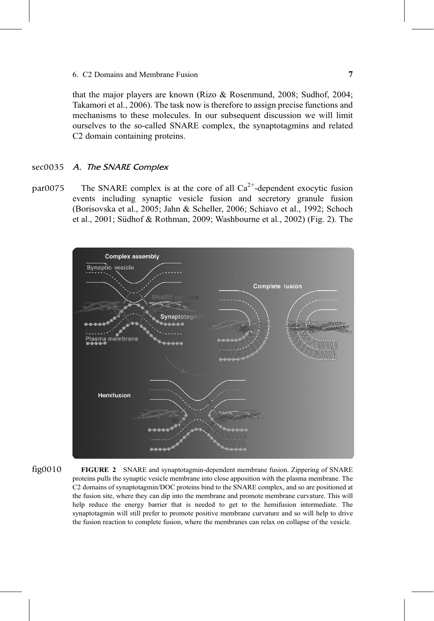<span id="page-6-0"></span>that the major players are known [\(Rizo & Rosenmund, 2008; Sudhof, 2004;](#page-17-0) [Takamori et al., 2006\)](#page-17-0). The task now is therefore to assign precise functions and mechanisms to these molecules. In our subsequent discussion we will limit ourselves to the so-called SNARE complex, the synaptotagmins and related C2 domain containing proteins.

### A. The SNARE Complex sec0035

The SNARE complex is at the core of all  $Ca<sup>2+</sup>$ -dependent exocytic fusion events including synaptic vesicle fusion and secretory granule fusion ([Borisovska et al., 2005; Jahn & Scheller, 2006; Schiavo et al., 1992; Schoch](#page-14-0) [et al., 2001; S](#page-14-0)üdhof & Rothman, 2009; Washbourne et al., 2002) (Fig. 2). The par0075



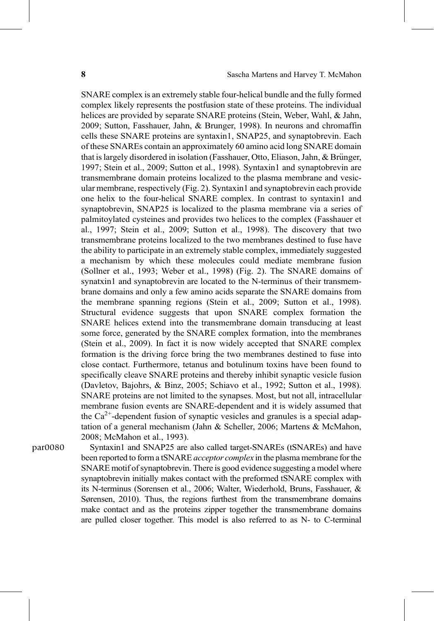SNARE complex is an extremely stable four-helical bundle and the fully formed complex likely represents the postfusion state of these proteins. The individual helices are provided by separate SNARE proteins [\(Stein, Weber, Wahl, & Jahn,](#page-17-0) [2009; Sutton, Fasshauer, Jahn, & Brunger, 1998\)](#page-17-0). In neurons and chromaffin cells these SNARE proteins are syntaxin1, SNAP25, and synaptobrevin. Each of these SNAREs contain an approximately 60 amino acid long SNARE domain that is largely disordered in isolation ([Fasshauer, Otto, Eliason, Jahn, & Br](#page-14-0)ünger, [1997; Stein et al., 2009; Sutton et al., 1998\)](#page-14-0). Syntaxin1 and synaptobrevin are transmembrane domain proteins localized to the plasma membrane and vesicular membrane, respectively [\(Fig. 2\)](#page-6-0). Syntaxin1 and synaptobrevin each provide one helix to the four-helical SNARE complex. In contrast to syntaxin1 and synaptobrevin, SNAP25 is localized to the plasma membrane via a series of palmitoylated cysteines and provides two helices to the complex [\(Fasshauer et](#page-14-0) [al., 1997; Stein et al., 2009; Sutton et al., 1998\)](#page-14-0). The discovery that two transmembrane proteins localized to the two membranes destined to fuse have the ability to participate in an extremely stable complex, immediately suggested a mechanism by which these molecules could mediate membrane fusion ([Sollner et al., 1993; Weber et al., 1998](#page-17-0)) ([Fig. 2](#page-6-0)). The SNARE domains of synatxin1 and synaptobrevin are located to the N-terminus of their transmembrane domains and only a few amino acids separate the SNARE domains from the membrane spanning regions [\(Stein et al., 2009; Sutton et al., 1998\)](#page-17-0). Structural evidence suggests that upon SNARE complex formation the SNARE helices extend into the transmembrane domain transducing at least some force, generated by the SNARE complex formation, into the membranes ([Stein et al., 2009\)](#page-17-0). In fact it is now widely accepted that SNARE complex formation is the driving force bring the two membranes destined to fuse into close contact. Furthermore, tetanus and botulinum toxins have been found to specifically cleave SNARE proteins and thereby inhibit synaptic vesicle fusion ([Davletov, Bajohrs, & Binz, 2005; Schiavo et al., 1992; Sutton et al., 1998\)](#page-14-0). SNARE proteins are not limited to the synapses. Most, but not all, intracellular membrane fusion events are SNARE-dependent and it is widely assumed that the  $Ca<sup>2+</sup>$ -dependent fusion of synaptic vesicles and granules is a special adaptation of a general mechanism [\(Jahn & Scheller, 2006; Martens & McMahon,](#page-16-0) [2008; McMahon et al., 1993\)](#page-16-0).

par0080 Syntaxin1 and SNAP25 are also called target-SNAREs (tSNAREs) and have been reported to form a tSNARE *acceptor complex* in the plasma membrane for the SNARE motif of synaptobrevin. There is good evidence suggesting a model where synaptobrevin initially makes contact with the preformed tSNARE complex with its N-terminus ([Sorensen et al., 2006; Walter, Wiederhold, Bruns, Fasshauer, &](#page-17-0) Sø[rensen, 2010\)](#page-17-0). Thus, the regions furthest from the transmembrane domains make contact and as the proteins zipper together the transmembrane domains are pulled closer together. This model is also referred to as N- to C-terminal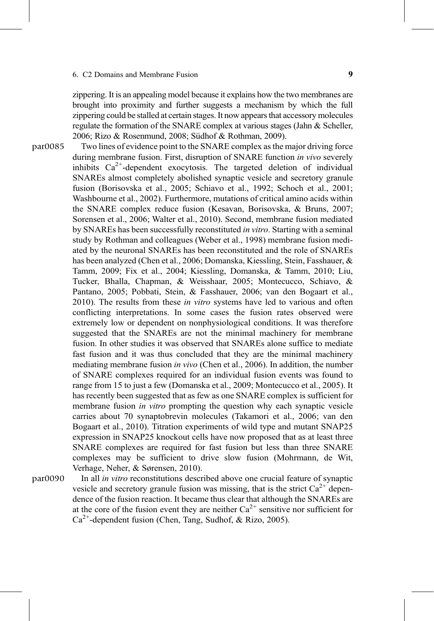zippering. It is an appealing model because it explains how the two membranes are brought into proximity and further suggests a mechanism by which the full zippering could be stalled at certain stages. It now appears that accessory molecules regulate the formation of the SNARE complex at various stages [\(Jahn & Scheller,](#page-16-0) [2006; Rizo & Rosenmund, 2008; S](#page-16-0)ü[dhof & Rothman, 2009\)](#page-16-0).

Two lines of evidence point to the SNARE complex as the major driving force during membrane fusion. First, disruption of SNARE function in vivo severely inhibits  $Ca^{2+}$ -dependent exocytosis. The targeted deletion of individual SNAREs almost completely abolished synaptic vesicle and secretory granule fusion [\(Borisovska et al., 2005; Schiavo et al., 1992; Schoch et al., 2001;](#page-14-0) [Washbourne et al., 2002\)](#page-14-0). Furthermore, mutations of critical amino acids within the SNARE complex reduce fusion ([Kesavan, Borisovska, & Bruns, 2007;](#page-16-0) [Sorensen et al., 2006; Walter et al., 2010\)](#page-16-0). Second, membrane fusion mediated by SNAREs has been successfully reconstituted in vitro. Starting with a seminal study by Rothman and colleagues [\(Weber et al., 1998\)](#page-18-0) membrane fusion mediated by the neuronal SNAREs has been reconstituted and the role of SNAREs has been analyzed ([Chen et al., 2006; Domanska, Kiessling, Stein, Fasshauer, &](#page-14-0) [Tamm, 2009; Fix et al., 2004; Kiessling, Domanska, & Tamm, 2010; Liu,](#page-14-0) [Tucker, Bhalla, Chapman, & Weisshaar, 2005; Montecucco, Schiavo, &](#page-14-0) [Pantano, 2005; Pobbati, Stein, & Fasshauer, 2006; van den Bogaart et al.,](#page-14-0) [2010](#page-14-0)). The results from these *in vitro* systems have led to various and often conflicting interpretations. In some cases the fusion rates observed were extremely low or dependent on nonphysiological conditions. It was therefore suggested that the SNAREs are not the minimal machinery for membrane fusion. In other studies it was observed that SNAREs alone suffice to mediate fast fusion and it was thus concluded that they are the minimal machinery mediating membrane fusion in vivo ([Chen et al., 2006\)](#page-14-0). In addition, the number of SNARE complexes required for an individual fusion events was found to range from 15 to just a few [\(Domanska et al., 2009; Montecucco et al., 2005](#page-14-0)). It has recently been suggested that as few as one SNARE complex is sufficient for membrane fusion *in vitro* prompting the question why each synaptic vesicle carries about 70 synaptobrevin molecules ([Takamori et al., 2006; van den](#page-18-0) [Bogaart et al., 2010\)](#page-18-0). Titration experiments of wild type and mutant SNAP25 expression in SNAP25 knockout cells have now proposed that as at least three SNARE complexes are required for fast fusion but less than three SNARE complexes may be sufficient to drive slow fusion ([Mohrmann, de Wit,](#page-16-0) [Verhage, Neher, & S](#page-16-0)ørensen, 2010). par0085

In all in vitro reconstitutions described above one crucial feature of synaptic vesicle and secretory granule fusion was missing, that is the strict  $Ca^{2+}$  dependence of the fusion reaction. It became thus clear that although the SNAREs are at the core of the fusion event they are neither  $Ca^{2+}$  sensitive nor sufficient for  $Ca^{2+}$ -dependent fusion ([Chen, Tang, Sudhof, & Rizo, 2005](#page-14-0)).  $\mathbf{p}$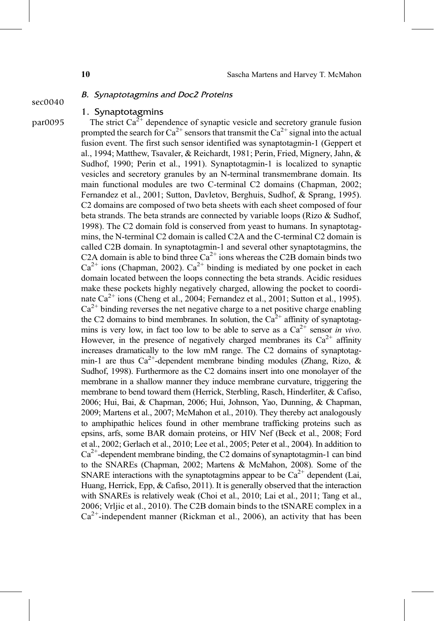# B. *Synaptotagmins and Doc2 Proteins*<br>sec0040 1. Synaptotagmins

### 1. Synaptotagmins

par0095 The strict  $Ca^{2+}$  dependence of synaptic vesicle and secretory granule fusion prompted the search for  $Ca^{2+}$  sensors that transmit the  $Ca^{2+}$  signal into the actual fusion event. The first such sensor identified was synaptotagmin-1 ([Geppert et](#page-15-0) [al., 1994; Matthew, Tsavaler, & Reichardt, 1981; Perin, Fried, Mignery, Jahn, &](#page-15-0) [Sudhof, 1990; Perin et al., 1991\)](#page-15-0). Synaptotagmin-1 is localized to synaptic vesicles and secretory granules by an N-terminal transmembrane domain. Its main functional modules are two C-terminal C2 domains ([Chapman, 2002;](#page-14-0) [Fernandez et al., 2001; Sutton, Davletov, Berghuis, Sudhof, & Sprang, 1995\)](#page-14-0). C2 domains are composed of two beta sheets with each sheet composed of four beta strands. The beta strands are connected by variable loops ([Rizo & Sudhof,](#page-17-0) [1998](#page-17-0)). The C2 domain fold is conserved from yeast to humans. In synaptotagmins, the N-terminal C2 domain is called C2A and the C-terminal C2 domain is called C2B domain. In synaptotagmin-1 and several other synaptotagmins, the C2A domain is able to bind three  $Ca^{2+}$  ions whereas the C2B domain binds two  $Ca^{2+}$  ions [\(Chapman, 2002](#page-14-0)).  $Ca^{2+}$  binding is mediated by one pocket in each domain located between the loops connecting the beta strands. Acidic residues make these pockets highly negatively charged, allowing the pocket to coordinate  $Ca^{2+}$  ions [\(Cheng et al., 2004; Fernandez et al., 2001; Sutton et al., 1995\)](#page-14-0).  $Ca<sup>2+</sup>$  binding reverses the net negative charge to a net positive charge enabling the C2 domains to bind membranes. In solution, the  $Ca<sup>2+</sup>$  affinity of synaptotagmins is very low, in fact too low to be able to serve as a  $Ca^{2+}$  sensor in vivo. However, in the presence of negatively charged membranes its  $Ca^{2+}$  affinity increases dramatically to the low mM range. The C2 domains of synaptotagmin-1 are thus  $Ca^{2+}$ -dependent membrane binding modules [\(Zhang, Rizo, &](#page-18-0) [Sudhof, 1998\)](#page-18-0). Furthermore as the C2 domains insert into one monolayer of the membrane in a shallow manner they induce membrane curvature, triggering the membrane to bend toward them [\(Herrick, Sterbling, Rasch, Hinderliter, & Cafiso,](#page-15-0) [2006; Hui, Bai, & Chapman, 2006; Hui, Johnson, Yao, Dunning, & Chapman,](#page-15-0) [2009; Martens et al., 2007; McMahon et al., 2010](#page-15-0)). They thereby act analogously to amphipathic helices found in other membrane trafficking proteins such as epsins, arfs, some BAR domain proteins, or HIV Nef ([Beck et al., 2008; Ford](#page-14-0) [et al., 2002; Gerlach et al., 2010; Lee et al., 2005; Peter et al., 2004\)](#page-14-0). In addition to  $Ca<sup>2+</sup>$ -dependent membrane binding, the C2 domains of synaptotagmin-1 can bind to the SNAREs ([Chapman, 2002; Martens & McMahon, 2008](#page-14-0)). Some of the SNARE interactions with the synaptotagmins appear to be  $Ca^{2+}$  dependent [\(Lai,](#page-16-0) [Huang, Herrick, Epp, & Cafiso, 2011](#page-16-0)). It is generally observed that the interaction with SNAREs is relatively weak [\(Choi et al., 2010; Lai et al., 2011; Tang et al.,](#page-14-0) [2006; Vrljic et al., 2010\)](#page-14-0). The C2B domain binds to the tSNARE complex in a  $Ca<sup>2+</sup>$ -independent manner ([Rickman et al., 2006](#page-17-0)), an activity that has been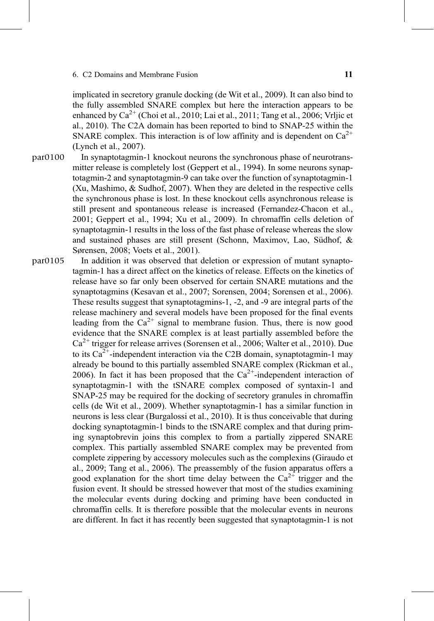implicated in secretory granule docking [\(de Wit et al., 2009\)](#page-14-0). It can also bind to the fully assembled SNARE complex but here the interaction appears to be enhanced by  $Ca^{2+}$  ([Choi et al., 2010; Lai et al., 2011; Tang et al., 2006; Vrljic et](#page-14-0) [al., 2010\)](#page-14-0). The C2A domain has been reported to bind to SNAP-25 within the SNARE complex. This interaction is of low affinity and is dependent on  $Ca^{2+}$ ([Lynch et al., 2007\)](#page-16-0).

- In synaptotagmin-1 knockout neurons the synchronous phase of neurotransmitter release is completely lost [\(Geppert et al., 1994](#page-15-0)). In some neurons synaptotagmin-2 and synaptotagmin-9 can take over the function of synaptotagmin-1 ([Xu, Mashimo, & Sudhof, 2007](#page-18-0)). When they are deleted in the respective cells the synchronous phase is lost. In these knockout cells asynchronous release is still present and spontaneous release is increased ([Fernandez-Chacon et al.,](#page-15-0) [2001; Geppert et al., 1994; Xu et al., 2009](#page-15-0)). In chromaffin cells deletion of synaptotagmin-1 results in the loss of the fast phase of release whereas the slow and sustained phases are still present [\(Schonn, Maximov, Lao, S](#page-17-0)üdhof,  $\&$ Sø[rensen, 2008; Voets et al., 2001\)](#page-17-0). p<sup>aro</sup>
- In addition it was observed that deletion or expression of mutant synaptotagmin-1 has a direct affect on the kinetics of release. Effects on the kinetics of release have so far only been observed for certain SNARE mutations and the synaptotagmins [\(Kesavan et al., 2007; Sorensen, 2004; Sorensen et al., 2006\)](#page-16-0). These results suggest that synaptotagmins-1, -2, and -9 are integral parts of the release machinery and several models have been proposed for the final events leading from the  $Ca^{2+}$  signal to membrane fusion. Thus, there is now good evidence that the SNARE complex is at least partially assembled before the  $Ca^{2+}$  trigger for release arrives ([Sorensen et al., 2006; Walter et al., 2010](#page-17-0)). Due to its  $Ca^{2+}$ -independent interaction via the C2B domain, synaptotagmin-1 may already be bound to this partially assembled SNARE complex ([Rickman et al.,](#page-17-0) [2006](#page-17-0)). In fact it has been proposed that the  $Ca^{2+}$ -independent interaction of synaptotagmin-1 with the tSNARE complex composed of syntaxin-1 and SNAP-25 may be required for the docking of secretory granules in chromaffin cells ([de Wit et al., 2009](#page-14-0)). Whether synaptotagmin-1 has a similar function in neurons is less clear ([Burgalossi et al., 2010\)](#page-14-0). It is thus conceivable that during docking synaptotagmin-1 binds to the tSNARE complex and that during priming synaptobrevin joins this complex to from a partially zippered SNARE complex. This partially assembled SNARE complex may be prevented from complete zippering by accessory molecules such as the complexins [\(Giraudo et](#page-15-0) [al., 2009; Tang et al., 2006\)](#page-15-0). The preassembly of the fusion apparatus offers a good explanation for the short time delay between the  $Ca^{2+}$  trigger and the fusion event. It should be stressed however that most of the studies examining the molecular events during docking and priming have been conducted in chromaffin cells. It is therefore possible that the molecular events in neurons are different. In fact it has recently been suggested that synaptotagmin-1 is not p<sup>aro</sup>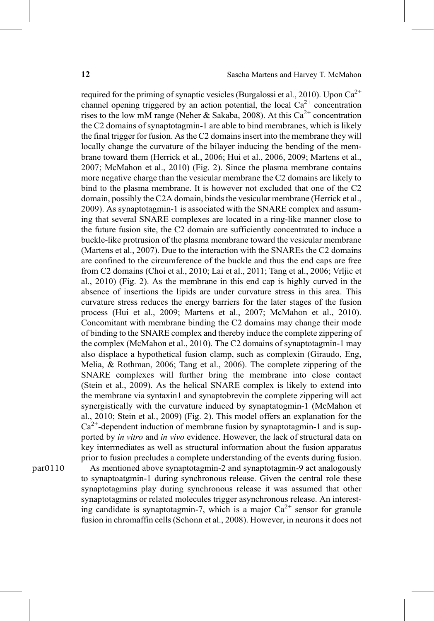required for the priming of synaptic vesicles [\(Burgalossi et al., 2010](#page-14-0)). Upon  $Ca^{2+}$ channel opening triggered by an action potential, the local  $Ca^{2+}$  concentration rises to the low mM range [\(Neher & Sakaba, 2008](#page-17-0)). At this  $Ca^{2+}$  concentration the C2 domains of synaptotagmin-1 are able to bind membranes, which is likely the final trigger for fusion. As the C2 domains insert into the membrane they will locally change the curvature of the bilayer inducing the bending of the membrane toward them ([Herrick et al., 2006; Hui et al., 2006, 2009; Martens et al.,](#page-15-0) [2007; McMahon et al., 2010](#page-15-0)) [\(Fig. 2\)](#page-6-0). Since the plasma membrane contains more negative charge than the vesicular membrane the C2 domains are likely to bind to the plasma membrane. It is however not excluded that one of the C2 domain, possibly the C2A domain, binds the vesicular membrane ([Herrick et al.,](#page-15-0) [2009](#page-15-0)). As synaptotagmin-1 is associated with the SNARE complex and assuming that several SNARE complexes are located in a ring-like manner close to the future fusion site, the C2 domain are sufficiently concentrated to induce a buckle-like protrusion of the plasma membrane toward the vesicular membrane ([Martens et al., 2007\)](#page-16-0). Due to the interaction with the SNAREs the C2 domains are confined to the circumference of the buckle and thus the end caps are free from C2 domains ([Choi et al., 2010; Lai et al., 2011; Tang et al., 2006; Vrljic et](#page-14-0) [al., 2010](#page-14-0)) ([Fig. 2\)](#page-6-0). As the membrane in this end cap is highly curved in the absence of insertions the lipids are under curvature stress in this area. This curvature stress reduces the energy barriers for the later stages of the fusion process ([Hui et al., 2009; Martens et al., 2007; McMahon et al., 2010\)](#page-16-0). Concomitant with membrane binding the C2 domains may change their mode of binding to the SNARE complex and thereby induce the complete zippering of the complex [\(McMahon et al., 2010](#page-16-0)). The C2 domains of synaptotagmin-1 may also displace a hypothetical fusion clamp, such as complexin ([Giraudo, Eng,](#page-15-0) [Melia, & Rothman, 2006; Tang et al., 2006\)](#page-15-0). The complete zippering of the SNARE complexes will further bring the membrane into close contact ([Stein et al., 2009](#page-17-0)). As the helical SNARE complex is likely to extend into the membrane via syntaxin1 and synaptobrevin the complete zippering will act synergistically with the curvature induced by synaptatogmin-1 ([McMahon et](#page-16-0) [al., 2010; Stein et al., 2009](#page-16-0)) ([Fig. 2](#page-6-0)). This model offers an explanation for the  $Ca<sup>2+</sup>$ -dependent induction of membrane fusion by synaptotagmin-1 and is supported by in vitro and in vivo evidence. However, the lack of structural data on key intermediates as well as structural information about the fusion apparatus prior to fusion precludes a complete understanding of the events during fusion.

par0110 As mentioned above synaptotagmin-2 and synaptotagmin-9 act analogously to synaptoatgmin-1 during synchronous release. Given the central role these synaptotagmins play during synchronous release it was assumed that other synaptotagmins or related molecules trigger asynchronous release. An interesting candidate is synaptotagmin-7, which is a major  $Ca^{2+}$  sensor for granule fusion in chromaffin cells ([Schonn et al., 2008](#page-17-0)). However, in neurons it does not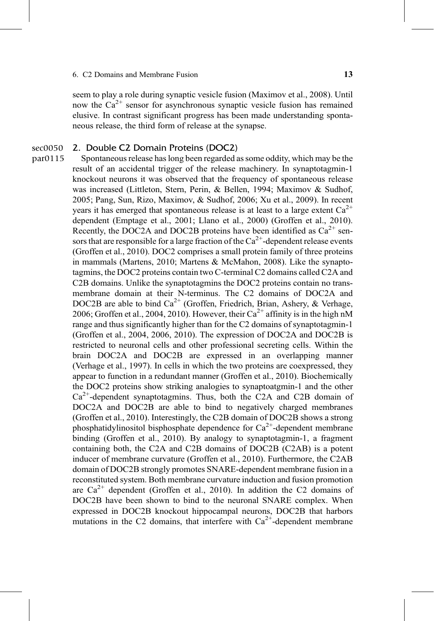seem to play a role during synaptic vesicle fusion ([Maximov et al., 2008](#page-16-0)). Until now the  $Ca^{2+}$  sensor for asynchronous synaptic vesicle fusion has remained elusive. In contrast significant progress has been made understanding spontaneous release, the third form of release at the synapse.

### 2. Double C2 Domain Proteins (DOC2) sec0050<br>par0115

Spontaneous release has long been regarded as some oddity, which may be the result of an accidental trigger of the release machinery. In synaptotagmin-1 knockout neurons it was observed that the frequency of spontaneous release was increased [\(Littleton, Stern, Perin, & Bellen, 1994; Maximov & Sudhof,](#page-16-0) [2005; Pang, Sun, Rizo, Maximov, & Sudhof, 2006; Xu et al., 2009\)](#page-16-0). In recent years it has emerged that spontaneous release is at least to a large extent  $Ca^{2+}$ dependent [\(Emptage et al., 2001; Llano et al., 2000](#page-14-0)) ([Groffen et al., 2010\)](#page-15-0). Recently, the DOC2A and DOC2B proteins have been identified as  $Ca^{2+}$  sensors that are responsible for a large fraction of the  $Ca^{2+}$ -dependent release events ([Groffen et al., 2010\)](#page-15-0). DOC2 comprises a small protein family of three proteins in mammals [\(Martens, 2010; Martens & McMahon, 2008\)](#page-16-0). Like the synaptotagmins, the DOC2 proteins contain two C-terminal C2 domains called C2A and C2B domains. Unlike the synaptotagmins the DOC2 proteins contain no transmembrane domain at their N-terminus. The C2 domains of DOC2A and DOC2B are able to bind  $Ca^{2+}$  ([Groffen, Friedrich, Brian, Ashery, & Verhage,](#page-15-0) [2006; Groffen et al., 2004, 2010\)](#page-15-0). However, their  $Ca^{2+}$  affinity is in the high nM range and thus significantly higher than for the C2 domains of synaptotagmin-1 ([Groffen et al., 2004, 2006, 2010](#page-15-0)). The expression of DOC2A and DOC2B is restricted to neuronal cells and other professional secreting cells. Within the brain DOC2A and DOC2B are expressed in an overlapping manner ([Verhage et al., 1997](#page-18-0)). In cells in which the two proteins are coexpressed, they appear to function in a redundant manner [\(Groffen et al., 2010](#page-15-0)). Biochemically the DOC2 proteins show striking analogies to synaptoatgmin-1 and the other  $Ca<sup>2+</sup>$ -dependent synaptotagmins. Thus, both the C2A and C2B domain of DOC2A and DOC2B are able to bind to negatively charged membranes ([Groffen et al., 2010](#page-15-0)). Interestingly, the C2B domain of DOC2B shows a strong phosphatidylinositol bisphosphate dependence for  $Ca^{2+}$ -dependent membrane binding ([Groffen et al., 2010\)](#page-15-0). By analogy to synaptotagmin-1, a fragment containing both, the C2A and C2B domains of DOC2B (C2AB) is a potent inducer of membrane curvature ([Groffen et al., 2010\)](#page-15-0). Furthermore, the C2AB domain of DOC2B strongly promotes SNARE-dependent membrane fusion in a reconstituted system. Both membrane curvature induction and fusion promotion are  $Ca^{2+}$  dependent [\(Groffen et al., 2010](#page-15-0)). In addition the C2 domains of DOC2B have been shown to bind to the neuronal SNARE complex. When expressed in DOC2B knockout hippocampal neurons, DOC2B that harbors mutations in the C2 domains, that interfere with  $Ca^{2+}$ -dependent membrane part = 11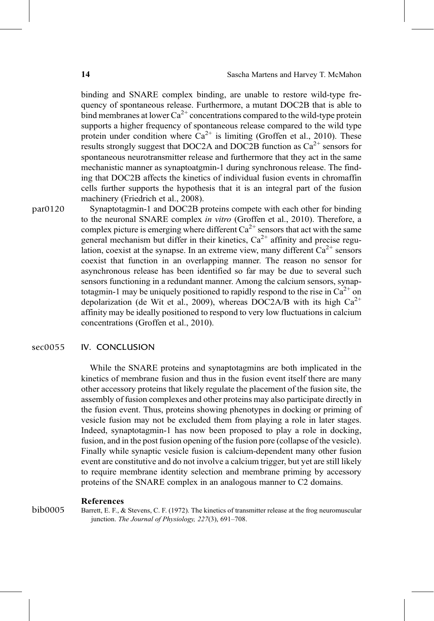<span id="page-13-0"></span>binding and SNARE complex binding, are unable to restore wild-type frequency of spontaneous release. Furthermore, a mutant DOC2B that is able to bind membranes at lower  $Ca^{2+}$  concentrations compared to the wild-type protein supports a higher frequency of spontaneous release compared to the wild type protein under condition where  $Ca^{2+}$  is limiting [\(Groffen et al., 2010](#page-15-0)). These results strongly suggest that DOC2A and DOC2B function as  $Ca^{2+}$  sensors for spontaneous neurotransmitter release and furthermore that they act in the same mechanistic manner as synaptoatgmin-1 during synchronous release. The finding that DOC2B affects the kinetics of individual fusion events in chromaffin cells further supports the hypothesis that it is an integral part of the fusion machinery ([Friedrich et al., 2008](#page-15-0)).

par0120 Synaptotagmin-1 and DOC2B proteins compete with each other for binding to the neuronal SNARE complex in vitro [\(Groffen et al., 2010](#page-15-0)). Therefore, a complex picture is emerging where different  $Ca^{2+}$  sensors that act with the same general mechanism but differ in their kinetics,  $Ca^{2+}$  affinity and precise regulation, coexist at the synapse. In an extreme view, many different  $Ca^{2+}$  sensors coexist that function in an overlapping manner. The reason no sensor for asynchronous release has been identified so far may be due to several such sensors functioning in a redundant manner. Among the calcium sensors, synaptotagmin-1 may be uniquely positioned to rapidly respond to the rise in  $Ca^{2+}$  on depolarization ([de Wit et al., 2009\)](#page-14-0), whereas DOC2A/B with its high  $Ca^{2+}$ affinity may be ideally positioned to respond to very low fluctuations in calcium concentrations [\(Groffen et al., 2010\)](#page-15-0).

### sec0055 IV. CONCLUSION

While the SNARE proteins and synaptotagmins are both implicated in the kinetics of membrane fusion and thus in the fusion event itself there are many other accessory proteins that likely regulate the placement of the fusion site, the assembly of fusion complexes and other proteins may also participate directly in the fusion event. Thus, proteins showing phenotypes in docking or priming of vesicle fusion may not be excluded them from playing a role in later stages. Indeed, synaptotagmin-1 has now been proposed to play a role in docking, fusion, and in the post fusion opening of the fusion pore (collapse of the vesicle). Finally while synaptic vesicle fusion is calcium-dependent many other fusion event are constitutive and do not involve a calcium trigger, but yet are still likely to require membrane identity selection and membrane priming by accessory proteins of the SNARE complex in an analogous manner to C2 domains.

### References

bib0005 Barrett, E. F., & Stevens, C. F. (1972). The kinetics of transmitter release at the frog neuromuscular junction. The Journal of Physiology, 227(3), 691-708.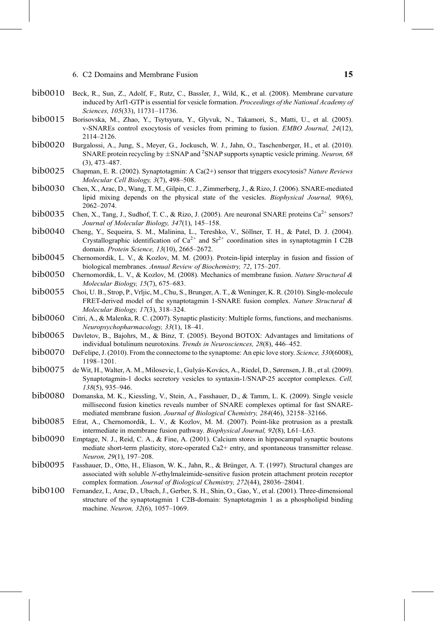- <span id="page-14-0"></span>bib0010 Beck, R., Sun, Z., Adolf, F., Rutz, C., Bassler, J., Wild, K., et al. (2008). Membrane curvature induced by Arf1-GTP is essential for vesicle formation. *Proceedings of the National Academy of* induced by Arf1-GTP is essential for vesicle formation. Proceedings of the National Academy of Sciences, 105(33), 11731–11736.
- bib0015 Borisovska, M., Zhao, Y., Tsytsyura, Y., Glyvuk, N., Takamori, S., Matti, U., et al. (2005).<br>v-SNAREs control exocytosis of vesicles from priming to fusion. *EMBO Journal*, 24(12). v-SNAREs control exocytosis of vesicles from priming to fusion. EMBO Journal, 24(12), 2114–2126.
- $\rm{bi}$ b0020 Burgalossi, A., Jung, S., Meyer, G., Jockusch, W. J., Jahn, O., Taschenberger, H., et al. (2010).<br>SNARE protein recycling by  $\pm$ SNAP and <sup>2</sup>SNAP supports synaptic vesicle priming. *Neuron*, 68 SNARE protein recycling by  $\pm$ SNAP and <sup>2</sup>SNAP supports synaptic vesicle priming. Neuron, 68 (3), 473–487.
- Chapman, E. R. (2002). Synaptotagmin: A Ca(2+) sensor that triggers exocytosis? Nature Reviews Molecular Cell Biology, 3(7), 498–508.
- Chen, X., Arac, D., Wang, T. M., Gilpin, C. J., Zimmerberg, J., & Rizo, J. (2006). SNARE-mediated lipid mixing depends on the physical state of the vesicles. Biophysical Journal, 90(6), 2062–2074. bib0030
- Chen, X., Tang, J., Sudhof, T. C., & Rizo, J. (2005). Are neuronal SNARE proteins  $Ca^{2+}$  sensors? Journal of Molecular Biology, 347(1), 145–158. bib0035
- bib0040 Cheng, Y., Sequeira, S. M., Malinina, L., Tereshko, V., Söllner, T. H., & Patel, D. J. (2004). Crystallographic identification of  $Ca^{2+}$  and  $Sr^{2+}$  coordination sites in synaptotagmin I C2B domain. Protein Science, 13(10), 2665–2672.
- bib0045 Chernomordik, L. V., & Kozlov, M. M. (2003). Protein-lipid interplay in fusion and fission of biological membranes. Annual Review of Biochemistry, 72, 175–207.
- Chernomordik, L. V., & Kozlov, M. (2008). Mechanics of membrane fusion. Nature Structural & Molecular Biology, 15(7), 675–683. bib0050
- bib0055 Choi, U. B., Strop, P., Vrljic, M., Chu, S., Brunger, A. T., & Weninger, K. R. (2010). Single-molecule FRET-derived model of the synaptotagmin 1-SNARE fusion complex. Nature Structural & Molecular Biology, 17(3), 318–324.
- bib0060 Citri, A., & Malenka, R. C. (2007). Synaptic plasticity: Multiple forms, functions, and mechanisms.<br>*Neuropsychopharmacology*, 33(1), 18–41. Neuropsychopharmacology, 33(1), 18–41.
- Davletov, B., Bajohrs, M., & Binz, T. (2005). Beyond BOTOX: Advantages and limitations of individual botulinum neurotoxins. Trends in Neurosciences, 28(8), 446–452.
- bib0070 DeFelipe, J. (2010). From the connectome to the synaptome: An epic love story. Science, 330(6008),<br>1198–1201. 1198–1201.
- de Wit, H., Walter, A. M., Milosevic, I., Gulyás-Kovács, A., Riedel, D., Sørensen, J. B., et al. (2009). Synaptotagmin-1 docks secretory vesicles to syntaxin-1/SNAP-25 acceptor complexes. Cell, 138(5), 935–946.
- Domanska, M. K., Kiessling, V., Stein, A., Fasshauer, D., & Tamm, L. K. (2009). Single vesicle millisecond fusion kinetics reveals number of SNARE complexes optimal for fast SNAREmediated membrane fusion. Journal of Biological Chemistry, 284(46), 32158–32166.
- bib0085 Efrat, A., Chernomordik, L. V., & Kozlov, M. M. (2007). Point-like protrusion as a prestalk intermediate in membrane fusion pathway. Biophysical Journal, 92(8), L61–L63.
- bib0090 Emptage, N. J., Reid, C. A., & Fine, A. (2001). Calcium stores in hippocampal synaptic boutons mediate short-term plasticity, store-operated Ca2+ entry, and spontaneous transmitter release. Neuron, 29(1), 197–208.
- Fasshauer, D., Otto, H., Eliason, W. K., Jahn, R., & Brünger, A. T. (1997). Structural changes are associated with soluble N-ethylmaleimide-sensitive fusion protein attachment protein receptor complex formation. Journal of Biological Chemistry, 272(44), 28036–28041.
- bib0100 Fernandez, I., Arac, D., Ubach, J., Gerber, S. H., Shin, O., Gao, Y., et al. (2001). Three-dimensional<br>structure of the synaptotagmin 1 C2B-domain: Synaptotagmin 1 as a phospholipid binding structure of the synaptotagmin 1 C2B-domain: Synaptotagmin 1 as a phospholipid binding machine. Neuron, 32(6), 1057–1069.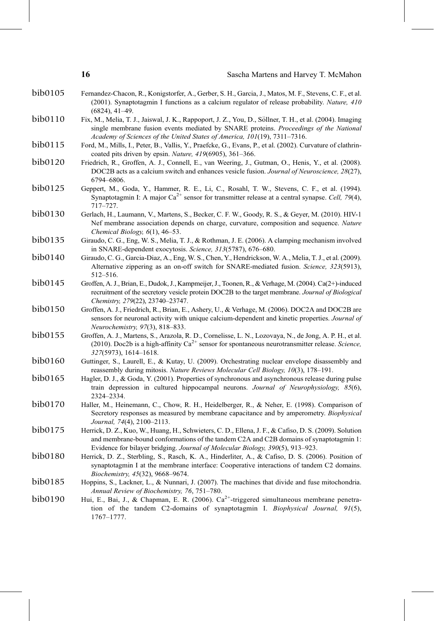<span id="page-15-0"></span>

|         | 16                                     | Sascha Martens and Harvey T. McMahon                                                                                                                                                                                                                                              |
|---------|----------------------------------------|-----------------------------------------------------------------------------------------------------------------------------------------------------------------------------------------------------------------------------------------------------------------------------------|
| bib0105 | $(6824), 41-49.$                       | Fernandez-Chacon, R., Konigstorfer, A., Gerber, S. H., Garcia, J., Matos, M. F., Stevens, C. F., et al.<br>(2001). Synaptotagmin I functions as a calcium regulator of release probability. Nature, 410                                                                           |
| bib0110 |                                        | Fix, M., Melia, T. J., Jaiswal, J. K., Rappoport, J. Z., You, D., Söllner, T. H., et al. (2004). Imaging<br>single membrane fusion events mediated by SNARE proteins. Proceedings of the National<br>Academy of Sciences of the United States of America, 101(19), 7311-7316.     |
| bib0115 |                                        | Ford, M., Mills, I., Peter, B., Vallis, Y., Praefcke, G., Evans, P., et al. (2002). Curvature of clathrin-<br>coated pits driven by epsin. Nature, 419(6905), 361-366.                                                                                                            |
| bib0120 | 6794-6806.                             | Friedrich, R., Groffen, A. J., Connell, E., van Weering, J., Gutman, O., Henis, Y., et al. (2008).<br>DOC2B acts as a calcium switch and enhances vesicle fusion. Journal of Neuroscience, 28(27),                                                                                |
| bib0125 | 717-727.                               | Geppert, M., Goda, Y., Hammer, R. E., Li, C., Rosahl, T. W., Stevens, C. F., et al. (1994).<br>Synaptotagmin I: A major $Ca^{2+}$ sensor for transmitter release at a central synapse. Cell, 79(4),                                                                               |
| bib0130 | Chemical Biology, $6(1)$ , 46-53.      | Gerlach, H., Laumann, V., Martens, S., Becker, C. F. W., Goody, R. S., & Geyer, M. (2010). HIV-1<br>Nef membrane association depends on charge, curvature, composition and sequence. Nature                                                                                       |
| bib0135 |                                        | Giraudo, C. G., Eng, W. S., Melia, T. J., & Rothman, J. E. (2006). A clamping mechanism involved<br>in SNARE-dependent exocytosis. Science, 313(5787), 676-680.                                                                                                                   |
| bib0140 | 512-516.                               | Giraudo, C. G., Garcia-Diaz, A., Eng, W. S., Chen, Y., Hendrickson, W. A., Melia, T. J., et al. (2009).<br>Alternative zippering as an on-off switch for SNARE-mediated fusion. Science, 323(5913),                                                                               |
| bib0145 | Chemistry, 279(22), 23740-23747.       | Groffen, A. J., Brian, E., Dudok, J., Kampmeijer, J., Toonen, R., & Verhage, M. (2004). Ca(2+)-induced<br>recruitment of the secretory vesicle protein DOC2B to the target membrane. Journal of Biological                                                                        |
| bib0150 | <i>Neurochemistry, 97(3), 818–833.</i> | Groffen, A. J., Friedrich, R., Brian, E., Ashery, U., & Verhage, M. (2006). DOC2A and DOC2B are<br>sensors for neuronal activity with unique calcium-dependent and kinetic properties. Journal of                                                                                 |
| bib0155 | 327(5973), 1614-1618.                  | Groffen, A. J., Martens, S., Arazola, R. D., Cornelisse, L. N., Lozovaya, N., de Jong, A. P. H., et al.<br>(2010). Doc2b is a high-affinity $Ca^{2+}$ sensor for spontaneous neurotransmitter release. Science,                                                                   |
| bib0160 |                                        | Guttinger, S., Laurell, E., & Kutay, U. (2009). Orchestrating nuclear envelope disassembly and<br>reassembly during mitosis. Nature Reviews Molecular Cell Biology, 10(3), 178-191.                                                                                               |
| bib0165 | 2324-2334.                             | Hagler, D. J., & Goda, Y. (2001). Properties of synchronous and asynchronous release during pulse<br>train depression in cultured hippocampal neurons. Journal of Neurophysiology, 85(6),                                                                                         |
| bib0170 | Journal, 74(4), 2100-2113.             | Haller, M., Heinemann, C., Chow, R. H., Heidelberger, R., & Neher, E. (1998). Comparison of<br>Secretory responses as measured by membrane capacitance and by amperometry. Biophysical                                                                                            |
| bib0175 |                                        | Herrick, D. Z., Kuo, W., Huang, H., Schwieters, C. D., Ellena, J. F., & Cafiso, D. S. (2009). Solution<br>and membrane-bound conformations of the tandem C2A and C2B domains of synaptotagmin 1:<br>Evidence for bilayer bridging. Journal of Molecular Biology, 390(5), 913–923. |
| bib0180 | Biochemistry, 45(32), 9668-9674.       | Herrick, D. Z., Sterbling, S., Rasch, K. A., Hinderliter, A., & Cafiso, D. S. (2006). Position of<br>synaptotagmin I at the membrane interface: Cooperative interactions of tandem C2 domains.                                                                                    |
| bib0185 |                                        | Hoppins, S., Lackner, L., & Nunnari, J. (2007). The machines that divide and fuse mitochondria.<br>Annual Review of Biochemistry, 76, 751-780.                                                                                                                                    |
| bib0190 | 1767-1777.                             | Hui, E., Bai, J., & Chapman, E. R. (2006). Ca <sup>2+</sup> -triggered simultaneous membrane penetra-<br>tion of the tandem C2-domains of synaptotagmin I. Biophysical Journal, 91(5),                                                                                            |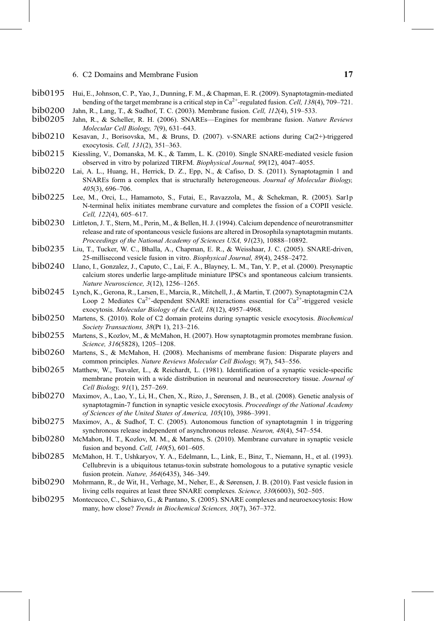- <span id="page-16-0"></span>Hui, E., Johnson, C. P., Yao, J., Dunning, F. M., & Chapman, E. R. (2009). Synaptotagmin-mediated bending of the target membrane is a critical step in  $Ca^{2+}$ -regulated fusion. Cell, 138(4), 709–721. Jahn, R., Lang, T., & Sudhof, T. C. (2003). Membrane fusion. Cell, 112(4), 519–533.
- Jahn, R., & Scheller, R. H. (2006). SNAREs—Engines for membrane fusion. Nature Reviews Molecular Cell Biology, 7(9), 631–643. bib0200<br>bib0205
- bib0210 Kesavan, J., Borisovska, M., & Bruns, D. (2007). v-SNARE actions during Ca(2+)-triggered exocytosis. Cell, 131(2), 351–363.
- bib0215 Kiessling, V., Domanska, M. K., & Tamm, L. K. (2010). Single SNARE-mediated vesicle fusion observed in vitro by polarized TIRFM. *Biophysical Journal.* 99(12). 4047–4055. observed in vitro by polarized TIRFM. Biophysical Journal, 99(12), 4047–4055.
- bib0220 Lai, A. L., Huang, H., Herrick, D. Z., Epp, N., & Cafiso, D. S. (2011). Synaptotagmin 1 and<br>SNAREs form a complex that is structurally heterogeneous. *Journal of Molecular Biology*. SNAREs form a complex that is structurally heterogeneous. Journal of Molecular Biology, 405(3), 696–706.
- Lee, M., Orci, L., Hamamoto, S., Futai, E., Ravazzola, M., & Schekman, R. (2005). Sar1p N-terminal helix initiates membrane curvature and completes the fission of a COPII vesicle. Cell, 122(4), 605–617.
- bib0230 Littleton, J. T., Stern, M., Perin, M., & Bellen, H. J. (1994). Calcium dependence of neurotransmitter<br>release and rate of spontaneous vesicle fusions are altered in Drosophila synaptotagmin mutants. release and rate of spontaneous vesicle fusions are altered in Drosophila synaptotagmin mutants. Proceedings of the National Academy of Sciences USA, 91(23), 10888–10892.
- Liu, T., Tucker, W. C., Bhalla, A., Chapman, E. R., & Weisshaar, J. C. (2005). SNARE-driven, 25-millisecond vesicle fusion in vitro. Biophysical Journal, 89(4), 2458–2472. bib0235
- bib0240 Llano, I., Gonzalez, J., Caputo, C., Lai, F. A., Blayney, L. M., Tan, Y. P., et al. (2000). Presynaptic calcium stores underlie large-amplitude miniature IPSCs and spontaneous calcium transients. calcium stores underlie large-amplitude miniature IPSCs and spontaneous calcium transients. Nature Neuroscience, 3(12), 1256–1265.
- bib0245 Lynch, K., Gerona, R., Larsen, E., Marcia, R., Mitchell, J., & Martin, T. (2007). Synaptotagmin C2A<br>Loop 2 Mediates Ca<sup>2+</sup>-dependent SNARE interactions essential for Ca<sup>2+</sup>-triggered vesicle Loop 2 Mediates  $Ca^{2+}$ -dependent SNARE interactions essential for  $Ca^{2+}$ -triggered vesicle exocytosis. Molecular Biology of the Cell, 18(12), 4957–4968.
- bib0250 Martens, S. (2010). Role of C2 domain proteins during synaptic vesicle exocytosis. *Biochemical* Society Transactions, 38(Pt 1), 213–216. Society Transactions, 38(Pt 1), 213–216.
- Martens, S., Kozlov, M., & McMahon, H. (2007). How synaptotagmin promotes membrane fusion. Science, 316(5828), 1205–1208.
- bib0260 Martens, S., & McMahon, H. (2008). Mechanisms of membrane fusion: Disparate players and<br>common principles. Nature Reviews Molecular Cell Biology. 9(7), 543–556. common principles. Nature Reviews Molecular Cell Biology, 9(7), 543–556.
- Matthew, W., Tsavaler, L., & Reichardt, L. (1981). Identification of a synaptic vesicle-specific membrane protein with a wide distribution in neuronal and neurosecretory tissue. Journal of Cell Biology, 91(1), 257–269.
- bib0270 Maximov, A., Lao, Y., Li, H., Chen, X., Rizo, J., Sørensen, J. B., et al. (2008). Genetic analysis of synaptotagmin-7 function in synaptic vesicle exocytosis. *Proceedings of the National Academy* synaptotagmin-7 function in synaptic vesicle exocytosis. Proceedings of the National Academy of Sciences of the United States of America, 105(10), 3986–3991.
- bib0275 Maximov, A., & Sudhof, T. C. (2005). Autonomous function of synaptotagmin 1 in triggering synchronous release independent of asynchronous release. Neuron, 48(4), 547–554.
- bib0280 McMahon, H. T., Kozlov, M. M., & Martens, S. (2010). Membrane curvature in synaptic vesicle fusion and beyond. Cell, 140(5), 601-605.
- McMahon, H. T., Ushkaryov, Y. A., Edelmann, L., Link, E., Binz, T., Niemann, H., et al. (1993). Cellubrevin is a ubiquitous tetanus-toxin substrate homologous to a putative synaptic vesicle fusion protein. Nature, 364(6435), 346–349.
- Mohrmann, R., de Wit, H., Verhage, M., Neher, E., & Sørensen, J. B. (2010). Fast vesicle fusion in living cells requires at least three SNARE complexes. Science, 330(6003), 502–505.
- bib0295 Montecucco, C., Schiavo, G., & Pantano, S. (2005). SNARE complexes and neuroexocytosis: How many, how close? Trends in Biochemical Sciences, 30(7), 367-372.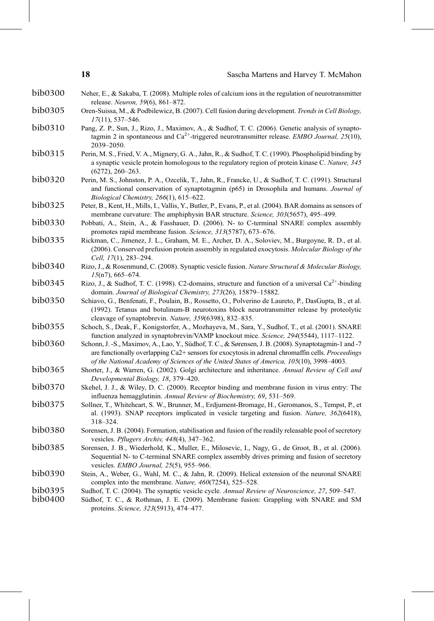- <span id="page-17-0"></span>bib0300 Neher, E., & Sakaba, T. (2008). Multiple roles of calcium ions in the regulation of neurotransmitter release. Neuron, 59(6), 861–872.
- bib0305 Oren-Suissa, M., & Podbilewicz, B. (2007). Cell fusion during development. Trends in Cell Biology, 17(11), 537–546.
- bib0310 Pang, Z. P., Sun, J., Rizo, J., Maximov, A., & Sudhof, T. C. (2006). Genetic analysis of synapto-<br>tagmin 2 in spontaneous and  $Ca^{2+}$ -triggered neurotransmitter release. *EMBO Journal*, 25(10), 2039–2050.
- bib0315 Perin, M. S., Fried, V. A., Mignery, G. A., Jahn, R., & Sudhof, T. C. (1990). Phospholipid binding by a synaptic vesicle protein homologous to the regulatory region of protein kinase C. Nature, 345 (6272), 260–263.
- bib0320 Perin, M. S., Johnston, P. A., Ozcelik, T., Jahn, R., Francke, U., & Sudhof, T. C. (1991). Structural<br>and functional conservation of synaptotagmin (p65) in Drosophila and humans. Journal of Biological Chemistry, 266(1), 615–622.
- bib0325 Peter, B., Kent, H., Mills, I., Vallis, Y., Butler, P., Evans, P., et al. (2004). BAR domains as sensors of membrane curvature: The amphiphysin BAR structure. Science, 303(5657), 495–499.
- bib0330 Pobbati, A., Stein, A., & Fasshauer, D. (2006). N- to C-terminal SNARE complex assembly promotes rapid membrane fusion. Science, 313(5787), 673–676.
- bib0335 Rickman, C., Jimenez, J. L., Graham, M. E., Archer, D. A., Soloviev, M., Burgoyne, R. D., et al. (2006). Conserved prefusion protein assembly in regulated exocytosis. Molecular Biology of the Cell, 17(1), 283–294.
- bib0340 Rizo, J., & Rosenmund, C. (2008). Synaptic vesicle fusion. Nature Structural & Molecular Biology, 15(n7), 665–674.
- bib0345 Rizo, J., & Sudhof, T. C. (1998). C2-domains, structure and function of a universal  $Ca^{2+}$ -binding domain. Journal of Biological Chemistry, 273(26), 15879–15882.
- bib0350 Schiavo, G., Benfenati, F., Poulain, B., Rossetto, O., Polverino de Laureto, P., DasGupta, B., et al. (1992). Tetanus and botulinum-B neurotoxins block neurotransmitter release by proteolytic cleavage of synaptobrevin. Nature, 359(6398), 832–835.
- bib0355 Schoch, S., Deak, F., Konigstorfer, A., Mozhayeva, M., Sara, Y., Sudhof, T., et al. (2001). SNARE function analyzed in synaptobrevin/VAMP knockout mice. *Science*, 294(5544), 1117–1122.
- bib0360 Schonn, J. -S., Maximov, A., Lao, Y., Südhof, T. C., & Sørensen, J. B. (2008). Synaptotagmin-1 and -7 are functionally overlapping Ca2+ sensors for exocytosis in adrenal chromaffin cells. Proceedings of the National Academy of Sciences of the United States of America, 105(10), 3998–4003.
- bib0365 Shorter, J., & Warren, G. (2002). Golgi architecture and inheritance. Annual Review of Cell and Developmental Biology, 18, 379–420.
- bib0370 Skehel, J. J., & Wiley, D. C. (2000). Receptor binding and membrane fusion in virus entry: The influenza hemagglutinin. Annual Review of Biochemistry, 69, 531–569.
- bib0375 Sollner, T., Whiteheart, S. W., Brunner, M., Erdjument-Bromage, H., Geromanos, S., Tempst, P., et al. (1993). SNAP receptors implicated in vesicle targeting and fusion. Nature, 362(6418), 318–324.
- bib0380 Sorensen, J. B. (2004). Formation, stabilisation and fusion of the readily releasable pool of secretory vesicles. Pflugers Archiv, 448(4), 347–362.
- bib0385 Sorensen, J. B., Wiederhold, K., Muller, E., Milosevic, I., Nagy, G., de Groot, B., et al. (2006). Sequential N- to C-terminal SNARE complex assembly drives priming and fusion of secretory vesicles. EMBO Journal, 25(5), 955–966.
- bib0390 Stein, A., Weber, G., Wahl, M. C., & Jahn, R. (2009). Helical extension of the neuronal SNARE complex into the membrane. Nature, 460(7254), 525-528.
- bib0395 Sudhof, T. C. (2004). The synaptic vesicle cycle. Annual Review of Neuroscience, 27, 509–547.<br>bib0400 Südhof. T. C., & Rothman, J. E. (2009). Membrane fusion: Grappling with SNARE and SN
- Südhof, T. C., & Rothman, J. E. (2009). Membrane fusion: Grappling with SNARE and SM proteins. Science, 323(5913), 474–477.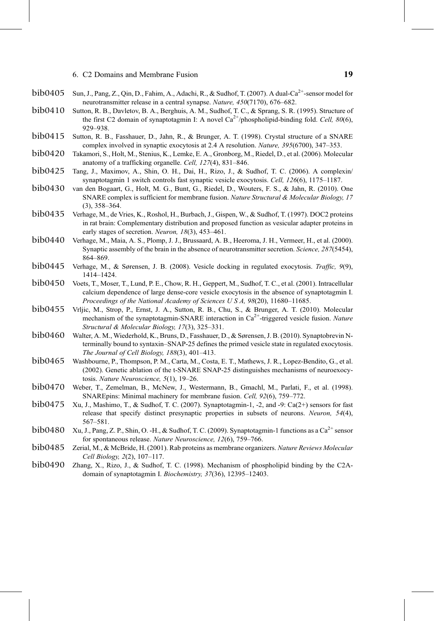- <span id="page-18-0"></span>bib0405 Sun, J., Pang, Z., Qin, D., Fahim, A., Adachi, R., & Sudhof, T. (2007). A dual-Ca<sup>2+</sup>-sensor model for neurotransmitter release in a central synapse. Nature, 450(7170), 676–682.
- $\rm{bib0410}$  Sutton, R. B., Davletov, B. A., Berghuis, A. M., Sudhof, T. C., & Sprang, S. R. (1995). Structure of the first C2 domain of synaptotagmin I: A novel  $\rm Ca^{2+}/phospholipid-binding$  fold. *Cell. 80*(6). the first C2 domain of synaptotagmin I: A novel  $Ca^{2+}/phospholipid$ -binding fold. Cell, 80(6), 929–938.
- Sutton, R. B., Fasshauer, D., Jahn, R., & Brunger, A. T. (1998). Crystal structure of a SNARE complex involved in synaptic exocytosis at 2.4 A resolution. Nature, 395(6700), 347-353.
- bib0420 Takamori, S., Holt, M., Stenius, K., Lemke, E. A., Gronborg, M., Riedel, D., et al. (2006). Molecular anatomy of a trafficking organelle. Cell, 127(4), 831–846.
- Tang, J., Maximov, A., Shin, O. H., Dai, H., Rizo, J., & Sudhof, T. C. (2006). A complexin/ synaptotagmin 1 switch controls fast synaptic vesicle exocytosis. Cell, 126(6), 1175–1187.
- van den Bogaart, G., Holt, M. G., Bunt, G., Riedel, D., Wouters, F. S., & Jahn, R. (2010). One SNARE complex is sufficient for membrane fusion. Nature Structural & Molecular Biology, 17 (3), 358–364. bib0430
- Verhage, M., de Vries, K., Roshol, H., Burbach, J., Gispen, W., & Sudhof, T. (1997). DOC2 proteins in rat brain: Complementary distribution and proposed function as vesicular adapter proteins in early stages of secretion. Neuron, 18(3), 453-461. bib0435
- Verhage, M., Maia, A. S., Plomp, J. J., Brussaard, A. B., Heeroma, J. H., Vermeer, H., et al. (2000). Synaptic assembly of the brain in the absence of neurotransmitter secretion. Science, 287(5454), 864–869.
- bib0445 Verhage, M., & Sørensen, J. B. (2008). Vesicle docking in regulated exocytosis. Traffic, 9(9), 1414–1424.
- Voets, T., Moser, T., Lund, P. E., Chow, R. H., Geppert, M., Sudhof, T. C., et al. (2001). Intracellular calcium dependence of large dense-core vesicle exocytosis in the absence of synaptotagmin I. Proceedings of the National Academy of Sciences U S A, 98(20), 11680–11685. bib0450
- Vrljic, M., Strop, P., Ernst, J. A., Sutton, R. B., Chu, S., & Brunger, A. T. (2010). Molecular mechanism of the synaptotagmin-SNARE interaction in  $Ca^{2+}$ -triggered vesicle fusion. Nature Structural & Molecular Biology, 17(3), 325–331.
- bib0460 Walter, A. M., Wiederhold, K., Bruns, D., Fasshauer, D., & Sørensen, J. B. (2010). Synaptobrevin N-<br>terminally bound to syntaxin–SNAP-25 defines the primed vesicle state in regulated exocytosis. terminally bound to syntaxin–SNAP-25 defines the primed vesicle state in regulated exocytosis. The Journal of Cell Biology, 188(3), 401–413.
- bib0465 Washbourne, P., Thompson, P. M., Carta, M., Costa, E. T., Mathews, J. R., Lopez-Bendito, G., et al. (2002). Genetic ablation of the t-SNARE SNAP-25 distinguishes mechanisms of neuroexocytosis. Nature Neuroscience, 5(1), 19–26.
- bib0470 Weber, T., Zemelman, B., McNew, J., Westermann, B., Gmachl, M., Parlati, F., et al. (1998). SNAREpins: Minimal machinery for membrane fusion. Cell, 92(6), 759–772.
- Xu, J., Mashimo, T., & Sudhof, T. C. (2007). Synaptotagmin-1, -2, and -9: Ca(2+) sensors for fast release that specify distinct presynaptic properties in subsets of neurons. Neuron, 54(4), 567–581.
- $bib0480$  Xu, J., Pang, Z. P., Shin, O. -H., & Sudhof, T. C. (2009). Synaptotagmin-1 functions as a  $Ca^{2+}$  sensor for spontaneous release. Nature Neuroscience, 12(6), 759–766.
- bib0485 Zerial, M., & McBride, H. (2001). Rab proteins as membrane organizers. Nature Reviews Molecular Cell Biology, 2(2), 107–117.
- Zhang, X., Rizo, J., & Sudhof, T. C. (1998). Mechanism of phospholipid binding by the C2Adomain of synaptotagmin I. Biochemistry, 37(36), 12395–12403.